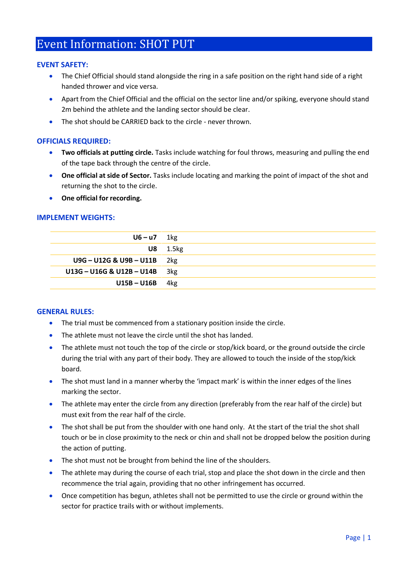# Event Information: SHOT PUT

### **EVENT SAFETY:**

- The Chief Official should stand alongside the ring in a safe position on the right hand side of a right handed thrower and vice versa.
- Apart from the Chief Official and the official on the sector line and/or spiking, everyone should stand 2m behind the athlete and the landing sector should be clear.
- The shot should be CARRIED back to the circle never thrown.

## **OFFICIALS REQUIRED:**

- **Two officials at putting circle.** Tasks include watching for foul throws, measuring and pulling the end of the tape back through the centre of the circle.
- **One official at side of Sector.** Tasks include locating and marking the point of impact of the shot and returning the shot to the circle.
- **One official for recording.**

### **IMPLEMENT WEIGHTS:**

| $U6 - U7$ 1kg                 |               |
|-------------------------------|---------------|
|                               | $U8$ 1.5 $kg$ |
| $U9G - U12G & U9B - U11B$ 2kg |               |
| U13G - U16G & U12B - U14B     | 3kg           |
| $U15B - U16B$                 | 4kg           |
|                               |               |

#### **GENERAL RULES:**

- The trial must be commenced from a stationary position inside the circle.
- The athlete must not leave the circle until the shot has landed.
- The athlete must not touch the top of the circle or stop/kick board, or the ground outside the circle during the trial with any part of their body. They are allowed to touch the inside of the stop/kick board.
- The shot must land in a manner wherby the 'impact mark' is within the inner edges of the lines marking the sector.
- The athlete may enter the circle from any direction (preferably from the rear half of the circle) but must exit from the rear half of the circle.
- The shot shall be put from the shoulder with one hand only. At the start of the trial the shot shall touch or be in close proximity to the neck or chin and shall not be dropped below the position during the action of putting.
- The shot must not be brought from behind the line of the shoulders.
- The athlete may during the course of each trial, stop and place the shot down in the circle and then recommence the trial again, providing that no other infringement has occurred.
- Once competition has begun, athletes shall not be permitted to use the circle or ground within the sector for practice trails with or without implements.